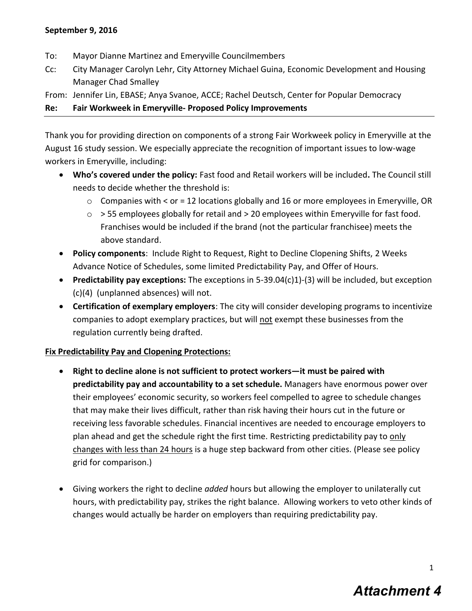- To: Mayor Dianne Martinez and Emeryville Councilmembers
- Cc: City Manager Carolyn Lehr, City Attorney Michael Guina, Economic Development and Housing Manager Chad Smalley
- From: Jennifer Lin, EBASE; Anya Svanoe, ACCE; Rachel Deutsch, Center for Popular Democracy

## **Re: Fair Workweek in Emeryville- Proposed Policy Improvements**

Thank you for providing direction on components of a strong Fair Workweek policy in Emeryville at the August 16 study session. We especially appreciate the recognition of important issues to low-wage workers in Emeryville, including:

- **Who's covered under the policy:** Fast food and Retail workers will be included**.** The Council still needs to decide whether the threshold is:
	- $\circ$  Companies with < or = 12 locations globally and 16 or more employees in Emeryville, OR
	- $\circ$  > 55 employees globally for retail and > 20 employees within Emeryville for fast food. Franchises would be included if the brand (not the particular franchisee) meets the above standard.
- **Policy components**: Include Right to Request, Right to Decline Clopening Shifts, 2 Weeks Advance Notice of Schedules, some limited Predictability Pay, and Offer of Hours.
- **Predictability pay exceptions:** The exceptions in 5-39.04(c)1)-(3) will be included, but exception (c)(4) (unplanned absences) will not.
- **Certification of exemplary employers**: The city will consider developing programs to incentivize companies to adopt exemplary practices, but will not exempt these businesses from the regulation currently being drafted.

## **Fix Predictability Pay and Clopening Protections:**

- **Right to decline alone is not sufficient to protect workers—it must be paired with predictability pay and accountability to a set schedule.** Managers have enormous power over their employees' economic security, so workers feel compelled to agree to schedule changes that may make their lives difficult, rather than risk having their hours cut in the future or receiving less favorable schedules. Financial incentives are needed to encourage employers to plan ahead and get the schedule right the first time. Restricting predictability pay to only changes with less than 24 hours is a huge step backward from other cities. (Please see policy grid for comparison.)
- Giving workers the right to decline *added* hours but allowing the employer to unilaterally cut hours, with predictability pay, strikes the right balance. Allowing workers to veto other kinds of changes would actually be harder on employers than requiring predictability pay.